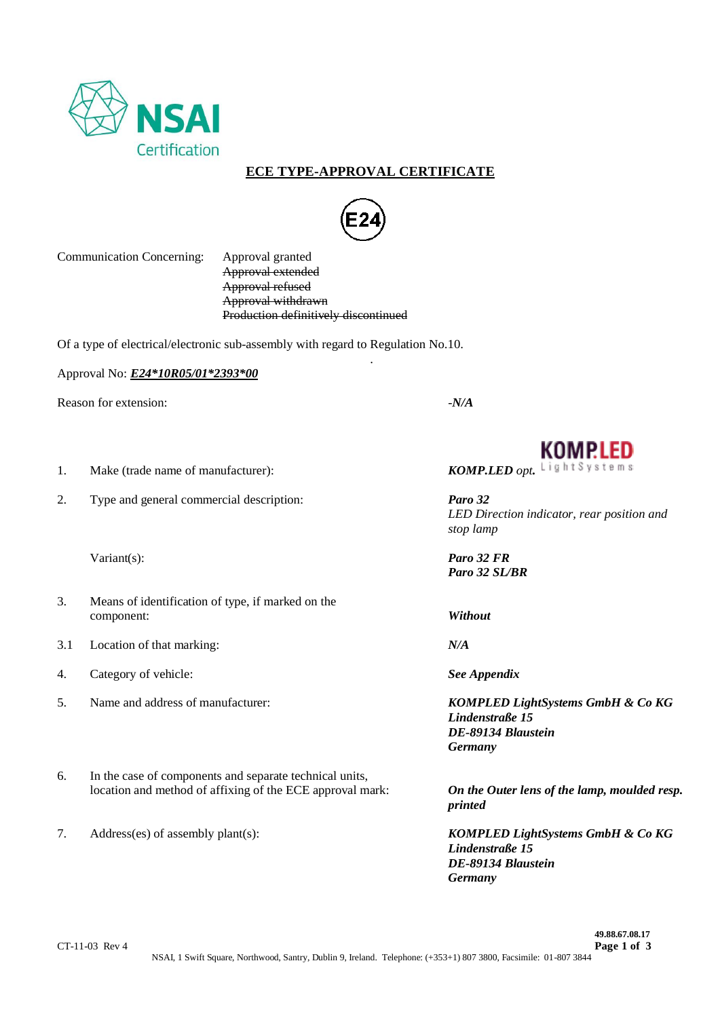

## **ECE TYPE-APPROVAL CERTIFICATE**



.

Communication Concerning: Approval granted

Approval extended Approval refused Approval withdrawn Production definitively discontinued

Of a type of electrical/electronic sub-assembly with regard to Regulation No.10.

Approval No: *E24\*10R05/01\*2393\*00*

Reason for extension:  $-*N/A*$ 

2. Type and general commercial description: *Paro 32*

- 3. Means of identification of type, if marked on the component: *Without*
- 3.1 Location of that marking: *N/A*
- 4. Category of vehicle: *See Appendix*
- 
- 6. In the case of components and separate technical units, location and method of affixing of the ECE approval mark: *On the Outer lens of the lamp, moulded resp.*
- 



1. Make (trade name of manufacturer): *KOMP.LED opt*. Light Systems

*LED Direction indicator, rear position and stop lamp*

Variant(s): *Paro 32 FR Paro 32 SL/BR*

5. Name and address of manufacturer: *KOMPLED LightSystems GmbH & Co KG Lindenstraße 15 DE-89134 Blaustein Germany*

*printed*

7. Address(es) of assembly plant(s): *KOMPLED LightSystems GmbH & Co KG Lindenstraße 15 DE-89134 Blaustein Germany*